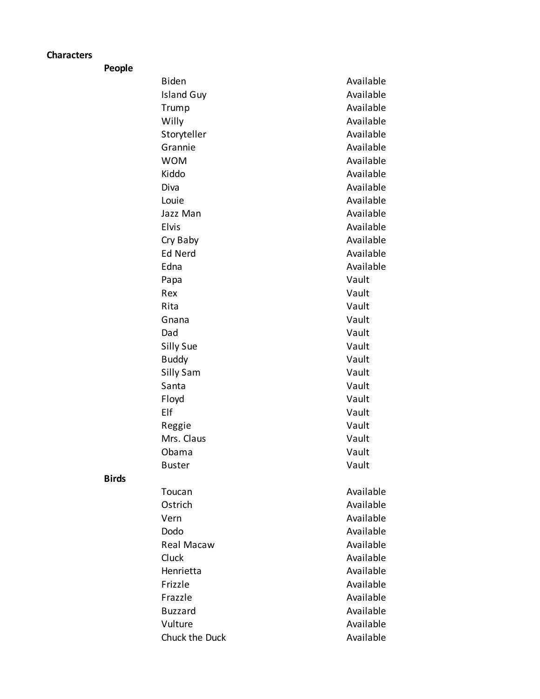## **Characters**

**People**

|     | <b>Biden</b>      | Available |
|-----|-------------------|-----------|
|     | <b>Island Guy</b> | Available |
|     | Trump             | Available |
|     | Willy             | Available |
|     | Storyteller       | Available |
|     | Grannie           | Available |
|     | <b>WOM</b>        | Available |
|     | Kiddo             | Available |
|     | Diva              | Available |
|     | Louie             | Available |
|     | Jazz Man          | Available |
|     | Elvis             | Available |
|     | Cry Baby          | Available |
|     | <b>Ed Nerd</b>    | Available |
|     | Edna              | Available |
|     | Papa              | Vault     |
|     | Rex               | Vault     |
|     | Rita              | Vault     |
|     | Gnana             | Vault     |
|     | Dad               | Vault     |
|     | Silly Sue         | Vault     |
|     | <b>Buddy</b>      | Vault     |
|     | Silly Sam         | Vault     |
|     | Santa             | Vault     |
|     | Floyd             | Vault     |
| Elf |                   | Vault     |
|     | Reggie            | Vault     |
|     | Mrs. Claus        | Vault     |
|     | Obama             | Vault     |
|     | <b>Buster</b>     | Vault     |
|     | Toucan            | Available |
|     | Ostrich           | Available |
|     | Vern              | Available |
|     | Dodo              | Available |
|     | Real Macaw        | Available |
|     | Cluck             | Available |
|     | Henrietta         | Available |
|     | Frizzle           | Available |
|     | Frazzle           | Available |
|     | <b>Buzzard</b>    | Available |
|     | Vulture           | Available |
|     | Chuck the Duck    | Available |

**Birds**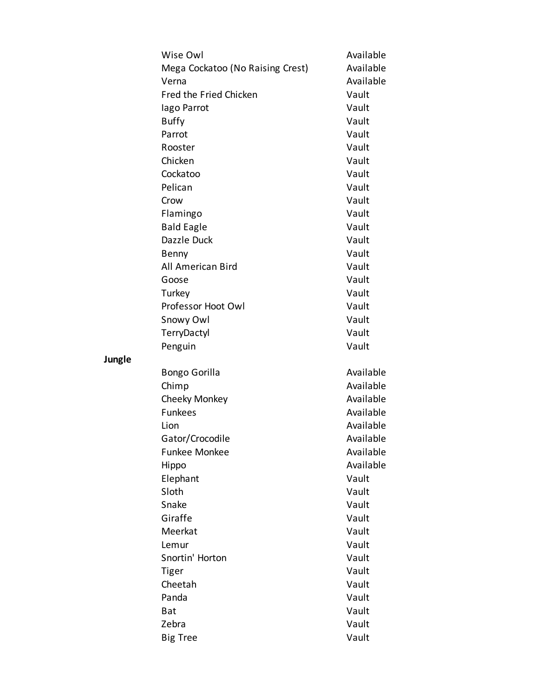| Wise Owl                         | Available              |
|----------------------------------|------------------------|
| Mega Cockatoo (No Raising Crest) | Available              |
| Verna                            | Available              |
| Fred the Fried Chicken           | Vault                  |
| lago Parrot                      | Vault                  |
| <b>Buffy</b>                     | Vault                  |
| Parrot                           | Vault                  |
| Rooster                          | Vault                  |
| Chicken                          | Vault                  |
| Cockatoo                         | Vault                  |
| Pelican                          | Vault                  |
| Crow                             | Vault                  |
| Flamingo                         | Vault                  |
| <b>Bald Eagle</b>                | Vault                  |
| Dazzle Duck                      | Vault                  |
| Benny                            | Vault                  |
| All American Bird                | Vault                  |
| Goose                            | Vault                  |
| Turkey                           | Vault                  |
| Professor Hoot Owl               | Vault                  |
| Snowy Owl                        | Vault                  |
| TerryDactyl                      | Vault                  |
| Penguin                          | Vault                  |
|                                  |                        |
| <b>Bongo Gorilla</b>             | Available              |
| Chimp                            | Available<br>Available |
| Cheeky Monkey<br><b>Funkees</b>  |                        |
|                                  | Available              |
| Lion                             | Available              |
| Gator/Crocodile                  | Available              |
| <b>Funkee Monkee</b>             | Available              |
| Hippo                            | Available              |
| Elephant                         | Vault                  |
| Sloth                            | Vault                  |
| Snake                            | Vault                  |
| Giraffe                          | Vault                  |
| Meerkat                          | Vault                  |
| Lemur                            | Vault                  |
| Snortin' Horton                  | Vault                  |
| Tiger                            | Vault                  |
| Cheetah                          | Vault                  |
| Panda                            | Vault                  |
| Bat                              | Vault                  |
| Zebra                            | Vault                  |
| <b>Big Tree</b>                  | Vault                  |

**Jungle**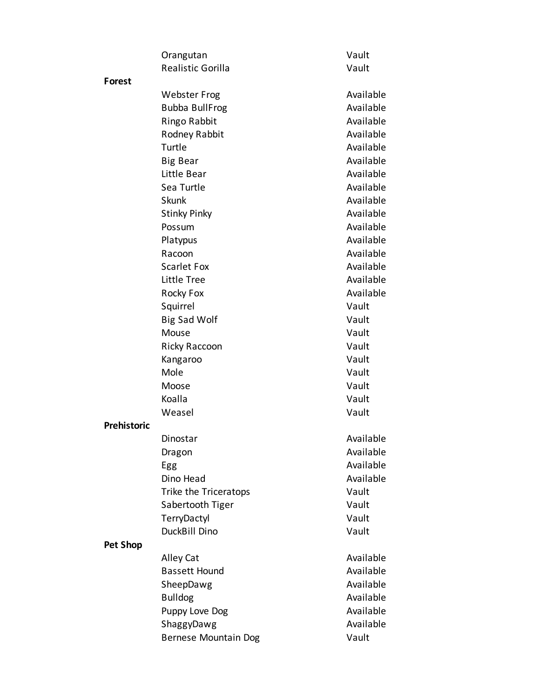|                    | Orangutan                   | Vault     |
|--------------------|-----------------------------|-----------|
|                    | Realistic Gorilla           | Vault     |
| Forest             |                             |           |
|                    | <b>Webster Frog</b>         | Available |
|                    | <b>Bubba BullFrog</b>       | Available |
|                    | Ringo Rabbit                | Available |
|                    | Rodney Rabbit               | Available |
|                    | Turtle                      | Available |
|                    | <b>Big Bear</b>             | Available |
|                    | Little Bear                 | Available |
|                    | Sea Turtle                  | Available |
|                    | Skunk                       | Available |
|                    | <b>Stinky Pinky</b>         | Available |
|                    | Possum                      | Available |
|                    | Platypus                    | Available |
|                    | Racoon                      | Available |
|                    | <b>Scarlet Fox</b>          | Available |
|                    | Little Tree                 | Available |
|                    | Rocky Fox                   | Available |
|                    | Squirrel                    | Vault     |
|                    | <b>Big Sad Wolf</b>         | Vault     |
|                    | Mouse                       | Vault     |
|                    | Ricky Raccoon               | Vault     |
|                    | Kangaroo                    | Vault     |
|                    | Mole                        | Vault     |
|                    | Moose                       | Vault     |
|                    | Koalla                      | Vault     |
|                    | Weasel                      | Vault     |
| <b>Prehistoric</b> |                             |           |
|                    | Dinostar                    | Available |
|                    | Dragon                      | Available |
|                    | Egg                         | Available |
|                    | Dino Head                   | Available |
|                    | Trike the Triceratops       | Vault     |
|                    | Sabertooth Tiger            | Vault     |
|                    | TerryDactyl                 | Vault     |
|                    | DuckBill Dino               | Vault     |
| <b>Pet Shop</b>    |                             |           |
|                    | Alley Cat                   | Available |
|                    | <b>Bassett Hound</b>        | Available |
|                    | SheepDawg                   | Available |
|                    | <b>Bulldog</b>              | Available |
|                    | Puppy Love Dog              | Available |
|                    | ShaggyDawg                  | Available |
|                    | <b>Bernese Mountain Dog</b> | Vault     |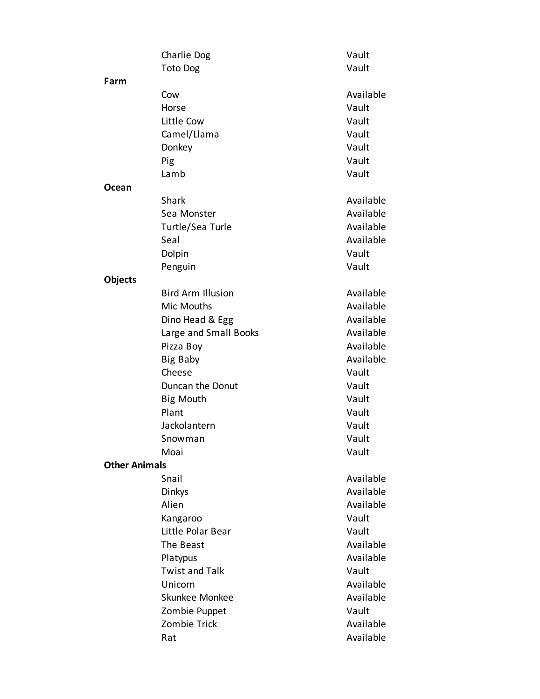|                      | Charlie Dog              | Vault     |
|----------------------|--------------------------|-----------|
|                      | <b>Toto Dog</b>          | Vault     |
| Farm                 |                          |           |
|                      | Cow                      | Available |
|                      | Horse                    | Vault     |
|                      | Little Cow               | Vault     |
|                      | Camel/Llama              | Vault     |
|                      | Donkey                   | Vault     |
|                      | Pig                      | Vault     |
|                      | Lamb                     | Vault     |
| Ocean                |                          |           |
|                      | <b>Shark</b>             | Available |
|                      | Sea Monster              | Available |
|                      | Turtle/Sea Turle         | Available |
|                      | Seal                     | Available |
|                      | Dolpin                   | Vault     |
|                      | Penguin                  | Vault     |
| <b>Objects</b>       |                          |           |
|                      | <b>Bird Arm Illusion</b> | Available |
|                      | Mic Mouths               | Available |
|                      | Dino Head & Egg          | Available |
|                      | Large and Small Books    | Available |
|                      | Pizza Boy                | Available |
|                      | Big Baby                 | Available |
|                      | Cheese                   | Vault     |
|                      | Duncan the Donut         | Vault     |
|                      | <b>Big Mouth</b>         | Vault     |
|                      | Plant                    | Vault     |
|                      | Jackolantern             | Vault     |
|                      | Snowman                  | Vault     |
|                      | Moai                     | Vault     |
| <b>Other Animals</b> |                          |           |
|                      | Snail                    | Available |
|                      | Dinkys                   | Available |
|                      | Alien                    | Available |
|                      | Kangaroo                 | Vault     |
|                      | Little Polar Bear        | Vault     |
|                      | The Beast                | Available |
|                      | Platypus                 | Available |
|                      | <b>Twist and Talk</b>    | Vault     |
|                      | Unicorn                  | Available |
|                      | Skunkee Monkee           | Available |
|                      | Zombie Puppet            | Vault     |
|                      | Zombie Trick             | Available |
|                      | Rat                      | Available |